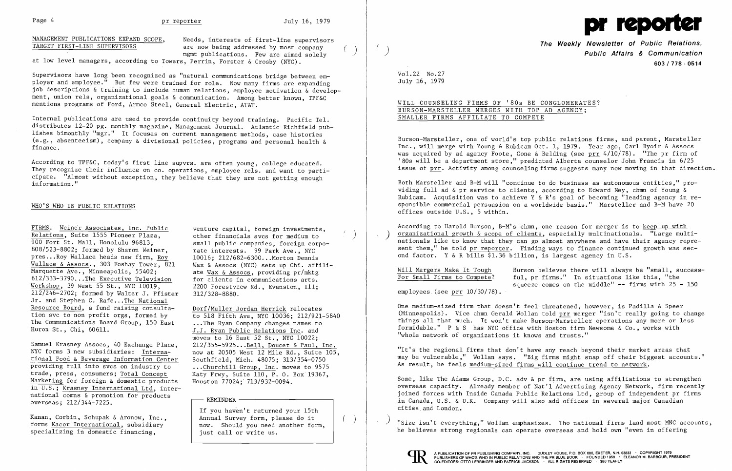MANAGEMENT PUBLICATIONS EXPAND SCOPE, Needs, interests of first-line supervisors<br>TARGET FIRST-LINE SUPERVISORS are now being addressed by most company mgmt publications. Few are aimed solely

at low level managers, according to Towers, Perrin, Forster & Crosby (NYC).

Supervisors have long been recognized as "natural communications bridge between employer and employee." But few were trained for role. Now many firms are expanding job descriptions & training to include human relations, employee motivation & development, union rels, organizational goals & communication. Among better known, TPF&C mentions programs of Ford, Armco Steel, General Electric, AT&T.

Internal publications are used to provide continuity beyond training. Pacific Tel. distributes 12-20 pg. monthly magazine, Management Journal. Atlantic Richfield publishes bimonthly "mgr." It focuses on current management methods, case histories (e.g., absenteeism), company & divisional policies, programs and personal health & finance.

According to TPF&C, today's first line supvrs. are often young, college educated. They recognize their influence on co. operations, employee rels. and want to participate. "Almost without exception, they believe that they are not getting enough information."

## WHO'S WHO IN PUBLIC RELATIONS

FIRMS. Weiner Associates, Inc. Public<br>Relations, Suite 1555 Pioneer Plaza, bother financials svcs for medium to Relations, Suite 1555 Pioneer Plaza, 900 Fort St. Mall, Honolulu 96813. 900 Fort St. Mall, Honolulu 96813, Small public companies, foreign corpo-808/523-8802; formed by Sharon Weiner, rate interests. 99 Park Ave., NYC<br>pres...Roy Wallace heads new firm, Roy 10016; 212/682-6300...Morton Dennis pres...Roy Wallace heads new firm, Roy Wallace & Assocs., 303 Foshay Tower, 821 Marquette Ave., Minneapolis, 55402: 612/333-3790...The Executive Television for clients in communications arts.<br>Workshop, 39 West 55 St., NYC 10019, 2200 Forestview Rd., Evanston, I11; Workshop, 39 West 55 St., NYC  $\overline{10019}$ , 2200 Forestvi<br> $\overline{212/246}$ -2702; formed by Walter J. Pfister 312/328-8880.  $212/246-2702$ ; formed by Walter J. Pfister Jr. and Stephen C. Rafe... The National Resource Board, a fund raising consulta-<br>tion svc to non profit orgs, formed by<br> $\frac{Dorf/Muller Jordan Herrick$  relocates<br>to 518 Fifth Ave, NYC 10036: 212/921-5840 tion svc to non profit orgs, formed by The Communications Board Group, 150 East ... The Ryan Company changes names to<br>Huron St., Chi, 60611. [1] J.J. Ryan Public Relations Inc. and

Samuel Krasney Assocs, 40 Exchange Place,<br>NYC forms 3 new subsidiaries: International Food & Beverage Information Center Southfield, Mich. 48075; 313/354-0750 providing full info svcs on industry to ... Churchill Group, Inc. moves to 9575<br>trade, press, consumers; Total Concept Katy Frwy, Suite 110, P. O. Box 19367, trade, press, consumers; Total Concept Marketing for foreign & domestic products in U.S.; Krasney International Ltd, inter national comms  $\&$  promotion for products<br>overseas:  $212/344-7225$ . in U.S.; <u>Krasney International Ltd</u>, inter-<br>national comns & promotion for products<br>overseas; 212/344-7225.

specializing in domestic financing,  $\vert$  just call or write us.

rate interests. 99 Park Ave., NYC Wax & Assocs (NYC) sets up Chi. affiliate Wax & Assocs, providing pr/mktg<br>for clients in communications arts.

Huron St., Chi,  $60611$ .  $\underline{J.J.}$  Ryan Public Relations Inc. and moves to 16 East 52 St., NYC 10022;<br>212/355-5925...Bell, Doucet & Paul, Inc. now at 20505 West 12 Mile Rd., Suite 105, Houston 77024; 713/932-0094.

If you haven't returned your 15th Kanan, Corbin, Schupak & Aronow, Inc., <br>
forms Kacor International, subsidiary now. Should you need another form,

According to Harold Burson, B-M's chmn, one reason for merger is to keep up with organizational growth  $\&$  scope of clients, especially multinationals. "Large multinationals like to know that they can go almost anywhere and have their agency represent them," he told pr reporter. Finding ways to finance continued growth was second factor. Y & R bills \$1.36 billion, is largest agency in U.S.

Will Mergers Make It Tough Burson believes there will always be "small, success-<br>For Small Firms to Compete? ful, pr firms." In situations like this, "the ful, pr firms." In situations like this, "the squeeze comes on the middle" **--** firms with 25 - 150

"Size isn't everything," Wollan emphasizes. Tho national firms land most MNC accounts, he believes strong regionals can operate overseas and hold own "even in offering





**The Weekly Newsletter of Public Relations,**  ( ) **Public Affairs & Communication 603/778 - 0514** 

VOl. 22 No. 27 July 16, 1979

WILL COUNSELING FIRMS OF '80s BE CONGLOMERATES? BURSON-MARSTELLER MERGES WITH TOP AD AGENCY; SMALLER FIRMS AFFILIATE TO COMPETE

Burson-Marsteller, one of world's top public relations firms, and parent, Marsteller Inc., will merge with Young & Rubicam Oct. 1, 1979. Year ago, Carl Byoir & Assocs was acquired by ad agency Foote. Cone & Belding (see prr  $4/10/78$ ). "The pr firm of '80s will be a department store," predicted Alberta counselor John Francis in 6/25 issue of prr. Activity among counseling firms suggests many now moving in that direction.

Both Marsteller and B-M will "continue to do business as autonomous entities," providing full ad & pr service to clients, according to Edward Ney, chmn of Young & Rubicam. Acquisition was to achieve Y & R's goal of becoming "leading agency in responsible commercial persuasion on a worldwide basis." Marsteller and B-M have 20 offices outside U.S., 5 within.

employees (see prr 10/30/78).

One medium-sized firm that doesn't feel threatened, however, is Padilla & Speer (Minneapolis). Vice chmn Gerald Wollan told prr merger "isn't really going to change things all that much. It won't make Burson-Marsteller operations any more or less formidable." P & S has NYC office with Boston firm Newsome & Co., works with "whole network of organizations it knows and trusts."

"It's the regional firms that don't have any reach beyond their market areas that may be vulnerable," Wollan says. "Big firms might snap off their biggest accounts." As result, he feels medium-sized firms will continue trend to network.

Some, like The Adams Group, D.C. adv & pr firm, are using affiliations to strengthen overseas capacity. Already member of Nat'l Advertising Agency Network, firm recently joined forces with Inside Canada Public Relations Ltd, group of independent pr firms in Canada, U.S. & U.K. Company will also add offices in several major Canadian cities and London.